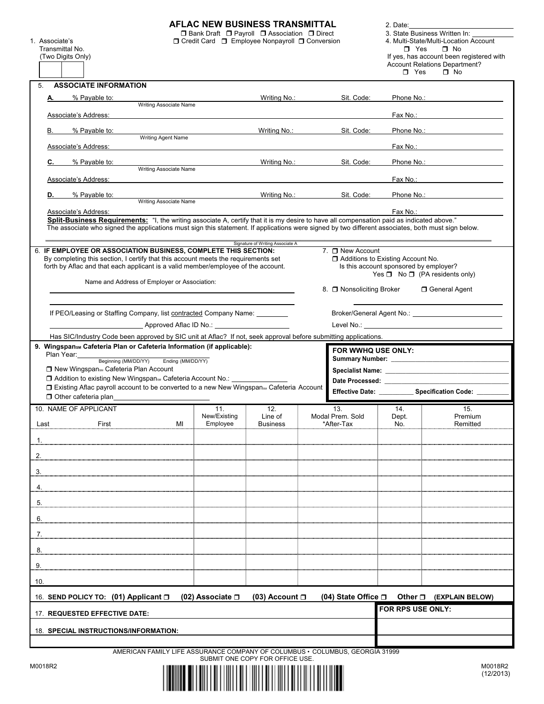|     |                |                                                                                                                                                                   |                                                                   |                          | AFLAC NEW BUSINESS TRANSMITTAL                                                                    |                                | 2. Date:                               |                                                                                                                                                                                                                                |
|-----|----------------|-------------------------------------------------------------------------------------------------------------------------------------------------------------------|-------------------------------------------------------------------|--------------------------|---------------------------------------------------------------------------------------------------|--------------------------------|----------------------------------------|--------------------------------------------------------------------------------------------------------------------------------------------------------------------------------------------------------------------------------|
|     | 1. Associate's |                                                                                                                                                                   |                                                                   |                          | □ Bank Draft □ Payroll □ Association □ Direct<br>□ Credit Card □ Employee Nonpayroll □ Conversion |                                |                                        | 3. State Business Written In:<br>4. Multi-State/Multi-Location Account                                                                                                                                                         |
|     |                | Transmittal No.<br>(Two Digits Only)                                                                                                                              |                                                                   |                          |                                                                                                   |                                | $\blacksquare$ Yes                     | $\Box$ No<br>If yes, has account been registered with                                                                                                                                                                          |
|     |                |                                                                                                                                                                   |                                                                   |                          |                                                                                                   |                                |                                        | <b>Account Relations Department?</b><br>$\Box$ No                                                                                                                                                                              |
|     | 5.             | <b>ASSOCIATE INFORMATION</b>                                                                                                                                      |                                                                   |                          |                                                                                                   |                                | $\Box$ Yes                             |                                                                                                                                                                                                                                |
|     | А.             | % Payable to:                                                                                                                                                     |                                                                   |                          | Writing No.:                                                                                      | Sit. Code:                     |                                        | Phone No.: The contract of the contract of the contract of the contract of the contract of the contract of the contract of the contract of the contract of the contract of the contract of the contract of the contract of the |
|     |                |                                                                                                                                                                   | Writing Associate Name                                            |                          |                                                                                                   |                                |                                        |                                                                                                                                                                                                                                |
|     |                | Associate's Address:                                                                                                                                              |                                                                   |                          |                                                                                                   |                                |                                        | Fax No.: <b>Example 2</b>                                                                                                                                                                                                      |
|     | В.             | % Payable to:                                                                                                                                                     | Writing Agent Name                                                |                          | Writing No.:                                                                                      | Sit. Code:                     |                                        | Phone No.: The contract of the contract of the contract of the contract of the contract of the contract of the contract of the contract of the contract of the contract of the contract of the contract of the contract of the |
|     |                | Associate's Address:                                                                                                                                              |                                                                   |                          |                                                                                                   |                                |                                        | Fax No.: <b>Example 2</b>                                                                                                                                                                                                      |
|     | С.             | % Payable to:                                                                                                                                                     |                                                                   |                          |                                                                                                   | Writing No.: Sit. Code:        |                                        | Phone No.: The contract of the contract of the contract of the contract of the contract of the contract of the contract of the contract of the contract of the contract of the contract of the contract of the contract of the |
|     |                | Associate's Address:                                                                                                                                              | Writing Associate Name                                            |                          |                                                                                                   |                                |                                        | Fax No.: The contract of the contract of the contract of the contract of the contract of the contract of the contract of the contract of the contract of the contract of the contract of the contract of the contract of the c |
|     | D.             | % Payable to:                                                                                                                                                     |                                                                   |                          | Writing No.:                                                                                      | Sit. Code:                     |                                        | Phone No.: The contract of the contract of the contract of the contract of the contract of the contract of the contract of the contract of the contract of the contract of the contract of the contract of the contract of the |
|     |                |                                                                                                                                                                   | Writing Associate Name                                            |                          |                                                                                                   |                                |                                        |                                                                                                                                                                                                                                |
|     |                | Associate's Address:<br>Split-Business Requirements: "I, the writing associate A, certify that it is my desire to have all compensation paid as indicated above." |                                                                   |                          |                                                                                                   |                                | Fax No.:                               |                                                                                                                                                                                                                                |
|     |                | The associate who signed the applications must sign this statement. If applications were signed by two different associates, both must sign below.                |                                                                   |                          |                                                                                                   |                                |                                        |                                                                                                                                                                                                                                |
|     |                |                                                                                                                                                                   |                                                                   |                          | Signature of Writing Associate A                                                                  |                                |                                        |                                                                                                                                                                                                                                |
|     |                | 6. IF EMPLOYEE OR ASSOCIATION BUSINESS, COMPLETE THIS SECTION:<br>By completing this section, I certify that this account meets the requirements set              |                                                                   |                          |                                                                                                   | 7. □ New Account               | Additions to Existing Account No.      |                                                                                                                                                                                                                                |
|     |                | forth by Aflac and that each applicant is a valid member/employee of the account.                                                                                 |                                                                   |                          |                                                                                                   |                                | Is this account sponsored by employer? | Yes $\Box$ No $\Box$ (PA residents only)                                                                                                                                                                                       |
|     |                |                                                                                                                                                                   | Name and Address of Employer or Association:                      |                          |                                                                                                   | 8. □ Nonsoliciting Broker      |                                        | □ General Agent                                                                                                                                                                                                                |
|     |                |                                                                                                                                                                   |                                                                   |                          |                                                                                                   |                                |                                        |                                                                                                                                                                                                                                |
|     |                | If PEO/Leasing or Staffing Company, list contracted Company Name: ________                                                                                        |                                                                   |                          |                                                                                                   |                                |                                        | Broker/General Agent No.: \\contact \\contact \\contact \\contact \\contact \\contact \\contact \\contact \\contact \\contact \\contact \\contact \\contact \\contact \\contact \\contact \\contact \\contact \\contact \\cont |
|     |                |                                                                                                                                                                   | Approved Aflac ID No.: <u>___________________________________</u> |                          |                                                                                                   |                                |                                        |                                                                                                                                                                                                                                |
|     |                | Has SIC/Industry Code been approved by SIC unit at Aflac? If not, seek approval before submitting applications.                                                   |                                                                   |                          |                                                                                                   |                                |                                        |                                                                                                                                                                                                                                |
|     |                | 9. Wingspansm Cafeteria Plan or Cafeteria Information (if applicable):<br>Plan Year:                                                                              |                                                                   |                          |                                                                                                   | FOR WWHQ USE ONLY:             |                                        |                                                                                                                                                                                                                                |
|     |                | Beginning (MM/DD/YY)<br>□ New Wingspan <sub>sM</sub> Cafeteria Plan Account                                                                                       | Ending (MM/DD/YY)                                                 |                          |                                                                                                   |                                |                                        |                                                                                                                                                                                                                                |
|     |                | □ Addition to existing New Wingspans Cafeteria Account No.: ___________                                                                                           |                                                                   |                          |                                                                                                   |                                |                                        |                                                                                                                                                                                                                                |
|     |                | □ Existing Aflac payroll account to be converted to a new New Wingspan & Cafeteria Account<br>□ Other cafeteria plan                                              |                                                                   |                          |                                                                                                   |                                |                                        | Effective Date: Specification Code: ____                                                                                                                                                                                       |
|     |                | 10. NAME OF APPLICANT                                                                                                                                             |                                                                   | 11.                      | 12.                                                                                               | 13.                            | 14.                                    | 15.                                                                                                                                                                                                                            |
|     | Last           | First                                                                                                                                                             | MI                                                                | New/Existing<br>Employee | Line of<br><b>Business</b>                                                                        | Modal Prem. Sold<br>*After-Tax | Dept.<br>No.                           | Premium<br>Remitted                                                                                                                                                                                                            |
|     |                |                                                                                                                                                                   |                                                                   |                          |                                                                                                   |                                |                                        |                                                                                                                                                                                                                                |
| 1.  |                |                                                                                                                                                                   |                                                                   |                          |                                                                                                   |                                |                                        |                                                                                                                                                                                                                                |
| 2.  |                |                                                                                                                                                                   |                                                                   |                          |                                                                                                   |                                |                                        |                                                                                                                                                                                                                                |
| 3.  |                |                                                                                                                                                                   |                                                                   |                          |                                                                                                   |                                |                                        |                                                                                                                                                                                                                                |
| 4.  |                |                                                                                                                                                                   |                                                                   |                          |                                                                                                   |                                |                                        |                                                                                                                                                                                                                                |
| 5.  |                |                                                                                                                                                                   |                                                                   |                          |                                                                                                   |                                |                                        |                                                                                                                                                                                                                                |
|     |                |                                                                                                                                                                   |                                                                   |                          |                                                                                                   |                                |                                        |                                                                                                                                                                                                                                |
|     |                |                                                                                                                                                                   |                                                                   |                          |                                                                                                   |                                |                                        |                                                                                                                                                                                                                                |
| 6.  |                |                                                                                                                                                                   |                                                                   |                          |                                                                                                   |                                |                                        |                                                                                                                                                                                                                                |
| 7.  |                |                                                                                                                                                                   |                                                                   |                          |                                                                                                   |                                |                                        |                                                                                                                                                                                                                                |
| 8.  |                |                                                                                                                                                                   |                                                                   |                          |                                                                                                   |                                |                                        |                                                                                                                                                                                                                                |
| 9.  |                |                                                                                                                                                                   |                                                                   |                          |                                                                                                   |                                |                                        |                                                                                                                                                                                                                                |
| 10. |                |                                                                                                                                                                   |                                                                   |                          |                                                                                                   |                                |                                        |                                                                                                                                                                                                                                |
|     |                | 16. SEND POLICY TO: (01) Applicant □                                                                                                                              |                                                                   | (02) Associate $\square$ | (03) Account $\Box$                                                                               | (04) State Office $\Box$       |                                        | Other <sub>[1]</sub> (EXPLAIN BELOW)                                                                                                                                                                                           |
|     |                | 17. REQUESTED EFFECTIVE DATE:                                                                                                                                     |                                                                   |                          |                                                                                                   |                                | FOR RPS USE ONLY:                      |                                                                                                                                                                                                                                |
|     |                |                                                                                                                                                                   |                                                                   |                          |                                                                                                   |                                |                                        |                                                                                                                                                                                                                                |
|     |                | 18. SPECIAL INSTRUCTIONS/INFORMATION:                                                                                                                             |                                                                   |                          |                                                                                                   |                                |                                        |                                                                                                                                                                                                                                |

M0018R2

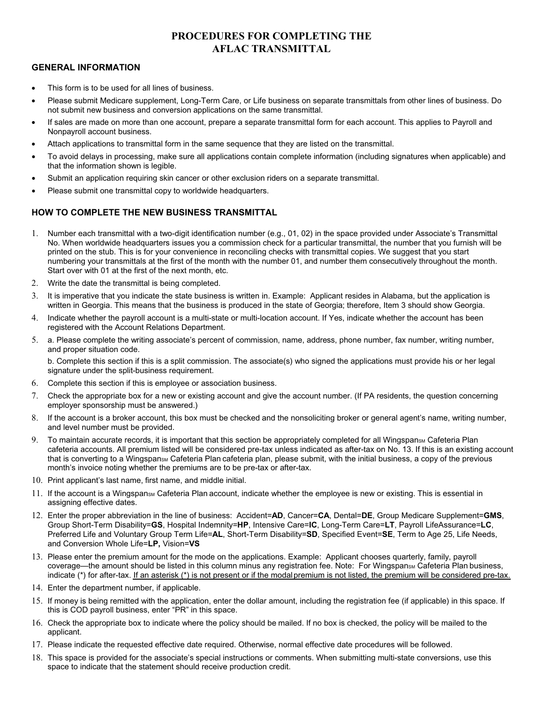## **PROCEDURES FOR COMPLETING THE AFLAC TRANSMITTAL**

#### **GENERAL INFORMATION**

- This form is to be used for all lines of business.
- Please submit Medicare supplement, Long-Term Care, or Life business on separate transmittals from other lines of business. Do not submit new business and conversion applications on the same transmittal.
- If sales are made on more than one account, prepare a separate transmittal form for each account. This applies to Payroll and Nonpayroll account business.
- Attach applications to transmittal form in the same sequence that they are listed on the transmittal.
- To avoid delays in processing, make sure all applications contain complete information (including signatures when applicable) and that the information shown is legible.
- Submit an application requiring skin cancer or other exclusion riders on a separate transmittal.
- Please submit one transmittal copy to worldwide headquarters.

### **HOW TO COMPLETE THE NEW BUSINESS TRANSMITTAL**

- 1. Number each transmittal with a two-digit identification number (e.g., 01, 02) in the space provided under Associate's Transmittal No. When worldwide headquarters issues you a commission check for a particular transmittal, the number that you furnish will be printed on the stub. This is for your convenience in reconciling checks with transmittal copies. We suggest that you start numbering your transmittals at the first of the month with the number 01, and number them consecutively throughout the month. Start over with 01 at the first of the next month, etc.
- 2. Write the date the transmittal is being completed.
- 3. It is imperative that you indicate the state business is written in. Example: Applicant resides in Alabama, but the application is written in Georgia. This means that the business is produced in the state of Georgia; therefore, Item 3 should show Georgia.
- 4. Indicate whether the payroll account is a multi-state or multi-location account. If Yes, indicate whether the account has been registered with the Account Relations Department.
- 5. a. Please complete the writing associate's percent of commission, name, address, phone number, fax number, writing number, and proper situation code.

b. Complete this section if this is a split commission. The associate(s) who signed the applications must provide his or her legal signature under the split-business requirement.

- 6. Complete this section if this is employee or association business.
- 7. Check the appropriate box for a new or existing account and give the account number. (If PA residents, the question concerning employer sponsorship must be answered.)
- 8. If the account is a broker account, this box must be checked and the nonsoliciting broker or general agent's name, writing number, and level number must be provided.
- 9. To maintain accurate records, it is important that this section be appropriately completed for all WingspansM Cafeteria Plan cafeteria accounts. All premium listed will be considered pre-tax unless indicated as after-tax on No. 13. If this is an existing account that is converting to a WingspansM Cafeteria Plan cafeteria plan, please submit, with the initial business, a copy of the previous month's invoice noting whether the premiums are to be pre-tax or after-tax.
- 10. Print applicant's last name, first name, and middle initial.
- 11. If the account is a Wingspans Cafeteria Plan account, indicate whether the employee is new or existing. This is essential in assigning effective dates.
- 12. Enter the proper abbreviation in the line of business: Accident=**AD**, Cancer=**CA**, Dental=**DE**, Group Medicare Supplement=**GMS**, Group Short-Term Disability=**GS**, Hospital Indemnity=**HP**, Intensive Care=**IC**, Long-Term Care=**LT**, Payroll LifeAssurance=**LC**, Preferred Life and Voluntary Group Term Life=**AL**, Short-Term Disability=**SD**, Specified Event=**SE**, Term to Age 25, Life Needs, and Conversion Whole Life=**LP,** Vision=**VS**
- 13. Please enter the premium amount for the mode on the applications. Example: Applicant chooses quarterly, family, payroll coverage—the amount should be listed in this column minus any registration fee. Note: For WingspansM Cafeteria Plan business, indicate (\*) for after-tax. If an asterisk (\*) is not present or if the modal premium is not listed, the premium will be considered pre-tax.
- 14. Enter the department number, if applicable.
- 15. If money is being remitted with the application, enter the dollar amount, including the registration fee (if applicable) in this space. If this is COD payroll business, enter "PR" in this space.
- 16. Check the appropriate box to indicate where the policy should be mailed. If no box is checked, the policy will be mailed to the applicant.
- 17. Please indicate the requested effective date required. Otherwise, normal effective date procedures will be followed.
- 18. This space is provided for the associate's special instructions or comments. When submitting multi-state conversions, use this space to indicate that the statement should receive production credit.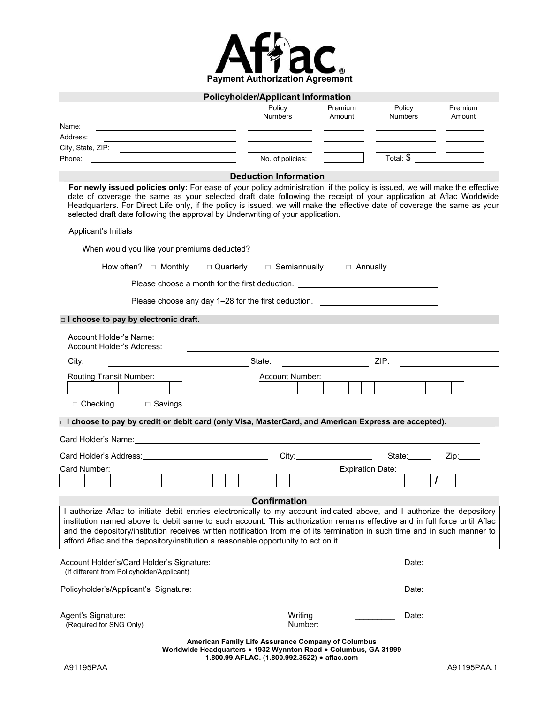

|                                                                                                                                                                                                                                                                                                                                                                                                                                                                           | <b>Policyholder/Applicant Information</b>                                                                                                                             |                                                                                                                                                                                                                                                                                                                                                                                                                                                                                 |              |         |
|---------------------------------------------------------------------------------------------------------------------------------------------------------------------------------------------------------------------------------------------------------------------------------------------------------------------------------------------------------------------------------------------------------------------------------------------------------------------------|-----------------------------------------------------------------------------------------------------------------------------------------------------------------------|---------------------------------------------------------------------------------------------------------------------------------------------------------------------------------------------------------------------------------------------------------------------------------------------------------------------------------------------------------------------------------------------------------------------------------------------------------------------------------|--------------|---------|
|                                                                                                                                                                                                                                                                                                                                                                                                                                                                           | Policy                                                                                                                                                                | Premium                                                                                                                                                                                                                                                                                                                                                                                                                                                                         | Policy       | Premium |
| Name:                                                                                                                                                                                                                                                                                                                                                                                                                                                                     | <b>Numbers</b>                                                                                                                                                        | Amount                                                                                                                                                                                                                                                                                                                                                                                                                                                                          | Numbers      | Amount  |
| <u> 1989 - Johann Stein, fransk politiker (d. 1989)</u><br>Address:<br>the contract of the contract of the contract of the contract of the contract of                                                                                                                                                                                                                                                                                                                    |                                                                                                                                                                       |                                                                                                                                                                                                                                                                                                                                                                                                                                                                                 |              |         |
|                                                                                                                                                                                                                                                                                                                                                                                                                                                                           |                                                                                                                                                                       |                                                                                                                                                                                                                                                                                                                                                                                                                                                                                 |              |         |
| Phone:<br>the control of the control of the control of the control of the control of the control of                                                                                                                                                                                                                                                                                                                                                                       | No. of policies:                                                                                                                                                      |                                                                                                                                                                                                                                                                                                                                                                                                                                                                                 | Total: $\$\$ |         |
|                                                                                                                                                                                                                                                                                                                                                                                                                                                                           | <b>Deduction Information</b>                                                                                                                                          |                                                                                                                                                                                                                                                                                                                                                                                                                                                                                 |              |         |
| For newly issued policies only: For ease of your policy administration, if the policy is issued, we will make the effective<br>date of coverage the same as your selected draft date following the receipt of your application at Aflac Worldwide<br>Headquarters. For Direct Life only, if the policy is issued, we will make the effective date of coverage the same as your<br>selected draft date following the approval by Underwriting of your application.         |                                                                                                                                                                       |                                                                                                                                                                                                                                                                                                                                                                                                                                                                                 |              |         |
| Applicant's Initials                                                                                                                                                                                                                                                                                                                                                                                                                                                      |                                                                                                                                                                       |                                                                                                                                                                                                                                                                                                                                                                                                                                                                                 |              |         |
| When would you like your premiums deducted?                                                                                                                                                                                                                                                                                                                                                                                                                               |                                                                                                                                                                       |                                                                                                                                                                                                                                                                                                                                                                                                                                                                                 |              |         |
| How often? $\Box$ Monthly                                                                                                                                                                                                                                                                                                                                                                                                                                                 | $\Box$ Quarterly $\Box$ Semiannually $\Box$ Annually                                                                                                                  |                                                                                                                                                                                                                                                                                                                                                                                                                                                                                 |              |         |
| Please choose a month for the first deduction. _________________________________                                                                                                                                                                                                                                                                                                                                                                                          |                                                                                                                                                                       |                                                                                                                                                                                                                                                                                                                                                                                                                                                                                 |              |         |
| Please choose any day 1–28 for the first deduction. ____________________________                                                                                                                                                                                                                                                                                                                                                                                          |                                                                                                                                                                       |                                                                                                                                                                                                                                                                                                                                                                                                                                                                                 |              |         |
| □ I choose to pay by electronic draft.                                                                                                                                                                                                                                                                                                                                                                                                                                    |                                                                                                                                                                       |                                                                                                                                                                                                                                                                                                                                                                                                                                                                                 |              |         |
| Account Holder's Name:<br>Account Holder's Address:                                                                                                                                                                                                                                                                                                                                                                                                                       |                                                                                                                                                                       |                                                                                                                                                                                                                                                                                                                                                                                                                                                                                 |              |         |
| <u>and the set of the set of the set of the set of the set of the set of the set of the set of the set of the set o</u><br>City:                                                                                                                                                                                                                                                                                                                                          |                                                                                                                                                                       | $\overline{\phantom{a}}$ $\overline{\phantom{a}}$ $\overline{\phantom{a}}$ $\overline{\phantom{a}}$ $\overline{\phantom{a}}$ $\overline{\phantom{a}}$ $\overline{\phantom{a}}$ $\overline{\phantom{a}}$ $\overline{\phantom{a}}$ $\overline{\phantom{a}}$ $\overline{\phantom{a}}$ $\overline{\phantom{a}}$ $\overline{\phantom{a}}$ $\overline{\phantom{a}}$ $\overline{\phantom{a}}$ $\overline{\phantom{a}}$ $\overline{\phantom{a}}$ $\overline{\phantom{a}}$ $\overline{\$ |              |         |
| Routing Transit Number:                                                                                                                                                                                                                                                                                                                                                                                                                                                   | Account Number:                                                                                                                                                       |                                                                                                                                                                                                                                                                                                                                                                                                                                                                                 |              |         |
| $\Box$ Checking<br>$\Box$ Savings                                                                                                                                                                                                                                                                                                                                                                                                                                         |                                                                                                                                                                       |                                                                                                                                                                                                                                                                                                                                                                                                                                                                                 |              |         |
| □ I choose to pay by credit or debit card (only Visa, MasterCard, and American Express are accepted).                                                                                                                                                                                                                                                                                                                                                                     |                                                                                                                                                                       |                                                                                                                                                                                                                                                                                                                                                                                                                                                                                 |              |         |
| Card Holder's Name: Name: Name and Security and Security and Security and Security and Security and Security and Security and Security and Security and Security and Security and Security and Security and Security and Secur                                                                                                                                                                                                                                            |                                                                                                                                                                       |                                                                                                                                                                                                                                                                                                                                                                                                                                                                                 |              |         |
|                                                                                                                                                                                                                                                                                                                                                                                                                                                                           |                                                                                                                                                                       | City:                                                                                                                                                                                                                                                                                                                                                                                                                                                                           | State:______ | Zip:    |
| Card Number:                                                                                                                                                                                                                                                                                                                                                                                                                                                              |                                                                                                                                                                       | <b>Expiration Date:</b>                                                                                                                                                                                                                                                                                                                                                                                                                                                         |              |         |
|                                                                                                                                                                                                                                                                                                                                                                                                                                                                           | <b>Confirmation</b>                                                                                                                                                   |                                                                                                                                                                                                                                                                                                                                                                                                                                                                                 |              |         |
| I authorize Aflac to initiate debit entries electronically to my account indicated above, and I authorize the depository<br>institution named above to debit same to such account. This authorization remains effective and in full force until Aflac<br>and the depository/institution receives written notification from me of its termination in such time and in such manner to<br>afford Aflac and the depository/institution a reasonable opportunity to act on it. |                                                                                                                                                                       |                                                                                                                                                                                                                                                                                                                                                                                                                                                                                 |              |         |
| Account Holder's/Card Holder's Signature:<br>(If different from Policyholder/Applicant)                                                                                                                                                                                                                                                                                                                                                                                   |                                                                                                                                                                       |                                                                                                                                                                                                                                                                                                                                                                                                                                                                                 | Date:        |         |
| Policyholder's/Applicant's Signature:                                                                                                                                                                                                                                                                                                                                                                                                                                     |                                                                                                                                                                       |                                                                                                                                                                                                                                                                                                                                                                                                                                                                                 | Date:        |         |
| Agent's Signature:<br>(Required for SNG Only)                                                                                                                                                                                                                                                                                                                                                                                                                             | Writing<br>Number:                                                                                                                                                    |                                                                                                                                                                                                                                                                                                                                                                                                                                                                                 | Date:        |         |
|                                                                                                                                                                                                                                                                                                                                                                                                                                                                           | American Family Life Assurance Company of Columbus<br>Worldwide Headquarters . 1932 Wynnton Road . Columbus, GA 31999<br>1.800.99.AFLAC. (1.800.992.3522) · aflac.com |                                                                                                                                                                                                                                                                                                                                                                                                                                                                                 |              |         |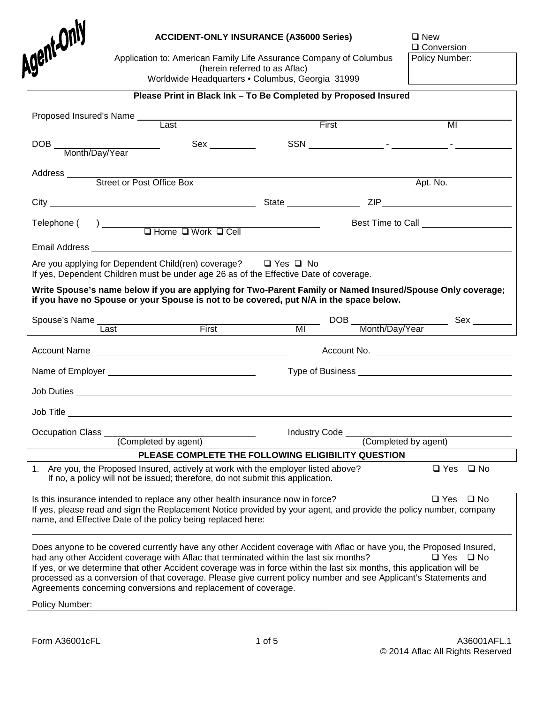

#### **ACCIDENT-ONLY INSURANCE (A36000 Series)**  $\Box$  New

Q Conversion Policy Number:

Application to: American Family Life Assurance Company of Columbus (herein referred to as Aflac) Worldwide Headquarters • Columbus, Georgia 31999

**Please Print in Black Ink – To Be Completed by Proposed Insured**

| Proposed Insured's Name ______               | Last                                                                                                                                                                                                                                                                                                                                                                                                                                                                                                                         | First |                                           | MI                            |
|----------------------------------------------|------------------------------------------------------------------------------------------------------------------------------------------------------------------------------------------------------------------------------------------------------------------------------------------------------------------------------------------------------------------------------------------------------------------------------------------------------------------------------------------------------------------------------|-------|-------------------------------------------|-------------------------------|
|                                              |                                                                                                                                                                                                                                                                                                                                                                                                                                                                                                                              |       |                                           |                               |
|                                              | Sex <                                                                                                                                                                                                                                                                                                                                                                                                                                                                                                                        |       |                                           |                               |
|                                              |                                                                                                                                                                                                                                                                                                                                                                                                                                                                                                                              |       |                                           |                               |
|                                              |                                                                                                                                                                                                                                                                                                                                                                                                                                                                                                                              |       |                                           |                               |
|                                              |                                                                                                                                                                                                                                                                                                                                                                                                                                                                                                                              |       | Apt. No.                                  |                               |
|                                              |                                                                                                                                                                                                                                                                                                                                                                                                                                                                                                                              |       |                                           |                               |
|                                              |                                                                                                                                                                                                                                                                                                                                                                                                                                                                                                                              |       |                                           |                               |
|                                              | $\begin{array}{c}\n\text{Telephone } (\quad) \quad \text{ \quad } \square \text{ Home } \square \text{ Work } \square \text{ Cell}\n\end{array}$                                                                                                                                                                                                                                                                                                                                                                             |       | Best Time to Call _______________________ |                               |
|                                              |                                                                                                                                                                                                                                                                                                                                                                                                                                                                                                                              |       |                                           |                               |
|                                              | Are you applying for Dependent Child(ren) coverage? □ Yes □ No<br>If yes, Dependent Children must be under age 26 as of the Effective Date of coverage.<br>Write Spouse's name below if you are applying for Two-Parent Family or Named Insured/Spouse Only coverage;<br>if you have no Spouse or your Spouse is not to be covered, put N/A in the space below.                                                                                                                                                              |       |                                           |                               |
|                                              | Spouse's Name Last First First MI                                                                                                                                                                                                                                                                                                                                                                                                                                                                                            |       |                                           |                               |
|                                              |                                                                                                                                                                                                                                                                                                                                                                                                                                                                                                                              |       |                                           |                               |
|                                              |                                                                                                                                                                                                                                                                                                                                                                                                                                                                                                                              |       |                                           |                               |
|                                              |                                                                                                                                                                                                                                                                                                                                                                                                                                                                                                                              |       |                                           |                               |
|                                              |                                                                                                                                                                                                                                                                                                                                                                                                                                                                                                                              |       |                                           |                               |
|                                              |                                                                                                                                                                                                                                                                                                                                                                                                                                                                                                                              |       |                                           |                               |
|                                              |                                                                                                                                                                                                                                                                                                                                                                                                                                                                                                                              |       |                                           |                               |
|                                              |                                                                                                                                                                                                                                                                                                                                                                                                                                                                                                                              |       |                                           |                               |
| Occupation Class (Completed by agent) ______ |                                                                                                                                                                                                                                                                                                                                                                                                                                                                                                                              |       |                                           |                               |
|                                              | PLEASE COMPLETE THE FOLLOWING ELIGIBILITY QUESTION                                                                                                                                                                                                                                                                                                                                                                                                                                                                           |       |                                           |                               |
|                                              | 1. Are you, the Proposed Insured, actively at work with the employer listed above?<br>If no, a policy will not be issued; therefore, do not submit this application.                                                                                                                                                                                                                                                                                                                                                         |       |                                           | $\square$ Yes<br>$\square$ No |
|                                              |                                                                                                                                                                                                                                                                                                                                                                                                                                                                                                                              |       |                                           |                               |
|                                              | Is this insurance intended to replace any other health insurance now in force?<br>If yes, please read and sign the Replacement Notice provided by your agent, and provide the policy number, company<br>name, and Effective Date of the policy being replaced here:                                                                                                                                                                                                                                                          |       |                                           | $\Box$ Yes $\Box$ No          |
| Policy Number:                               | Does anyone to be covered currently have any other Accident coverage with Aflac or have you, the Proposed Insured,<br>had any other Accident coverage with Aflac that terminated within the last six months?<br>If yes, or we determine that other Accident coverage was in force within the last six months, this application will be<br>processed as a conversion of that coverage. Please give current policy number and see Applicant's Statements and<br>Agreements concerning conversions and replacement of coverage. |       |                                           | $\Box$ Yes $\Box$ No          |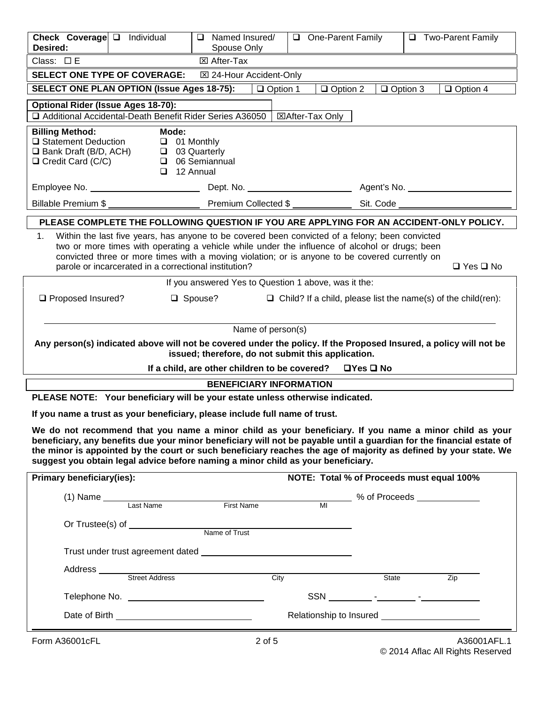| Check Coverage D Individual<br>Desired:                                                                |                                                         | Named Insured/<br>Spouse Only                                                                                                                                                                                                                                                                                                                                                                                                           | One-Parent Family                                                    |                 | □ Two-Parent Family  |
|--------------------------------------------------------------------------------------------------------|---------------------------------------------------------|-----------------------------------------------------------------------------------------------------------------------------------------------------------------------------------------------------------------------------------------------------------------------------------------------------------------------------------------------------------------------------------------------------------------------------------------|----------------------------------------------------------------------|-----------------|----------------------|
| Class: $\square$ E                                                                                     |                                                         | <b>⊠</b> After-Tax                                                                                                                                                                                                                                                                                                                                                                                                                      |                                                                      |                 |                      |
|                                                                                                        | <b>SELECT ONE TYPE OF COVERAGE:</b>                     | ⊠ 24-Hour Accident-Only                                                                                                                                                                                                                                                                                                                                                                                                                 |                                                                      |                 |                      |
|                                                                                                        | <b>SELECT ONE PLAN OPTION (Issue Ages 18-75):</b>       | $\Box$ Option 1                                                                                                                                                                                                                                                                                                                                                                                                                         | $\Box$ Option 2                                                      | $\Box$ Option 3 | $\Box$ Option 4      |
| <b>Optional Rider (Issue Ages 18-70):</b>                                                              |                                                         |                                                                                                                                                                                                                                                                                                                                                                                                                                         |                                                                      |                 |                      |
|                                                                                                        | Additional Accidental-Death Benefit Rider Series A36050 |                                                                                                                                                                                                                                                                                                                                                                                                                                         | ⊠After-Tax Only                                                      |                 |                      |
| <b>Billing Method:</b><br>□ Statement Deduction<br>□ Bank Draft (B/D, ACH)<br>$\Box$ Credit Card (C/C) | Mode:<br>$\Box$ 01 Monthly<br>$\Box$ 12 Annual          | □ 03 Quarterly<br>□ 06 Semiannual                                                                                                                                                                                                                                                                                                                                                                                                       |                                                                      |                 |                      |
| Billable Premium \$                                                                                    |                                                         | Premium Collected \$                                                                                                                                                                                                                                                                                                                                                                                                                    |                                                                      | Sit. Code       |                      |
|                                                                                                        |                                                         | PLEASE COMPLETE THE FOLLOWING QUESTION IF YOU ARE APPLYING FOR AN ACCIDENT-ONLY POLICY.                                                                                                                                                                                                                                                                                                                                                 |                                                                      |                 |                      |
| 1.                                                                                                     | parole or incarcerated in a correctional institution?   | Within the last five years, has anyone to be covered been convicted of a felony; been convicted<br>two or more times with operating a vehicle while under the influence of alcohol or drugs; been<br>convicted three or more times with a moving violation; or is anyone to be covered currently on                                                                                                                                     |                                                                      |                 | $\Box$ Yes $\Box$ No |
| □ Proposed Insured?                                                                                    |                                                         | If you answered Yes to Question 1 above, was it the:<br>□ Spouse?                                                                                                                                                                                                                                                                                                                                                                       | $\Box$ Child? If a child, please list the name(s) of the child(ren): |                 |                      |
|                                                                                                        |                                                         | Name of person(s)                                                                                                                                                                                                                                                                                                                                                                                                                       |                                                                      |                 |                      |
|                                                                                                        |                                                         | Any person(s) indicated above will not be covered under the policy. If the Proposed Insured, a policy will not be                                                                                                                                                                                                                                                                                                                       |                                                                      |                 |                      |
|                                                                                                        |                                                         | issued; therefore, do not submit this application.<br>If a child, are other children to be covered?                                                                                                                                                                                                                                                                                                                                     | $\Box$ Yes $\Box$ No                                                 |                 |                      |
|                                                                                                        |                                                         | <b>BENEFICIARY INFORMATION</b>                                                                                                                                                                                                                                                                                                                                                                                                          |                                                                      |                 |                      |
|                                                                                                        |                                                         | PLEASE NOTE: Your beneficiary will be your estate unless otherwise indicated.                                                                                                                                                                                                                                                                                                                                                           |                                                                      |                 |                      |
|                                                                                                        |                                                         | If you name a trust as your beneficiary, please include full name of trust.                                                                                                                                                                                                                                                                                                                                                             |                                                                      |                 |                      |
|                                                                                                        |                                                         | We do not recommend that you name a minor child as your beneficiary. If you name a minor child as your<br>beneficiary, any benefits due your minor beneficiary will not be payable until a guardian for the financial estate of<br>the minor is appointed by the court or such beneficiary reaches the age of majority as defined by your state. We<br>suggest you obtain legal advice before naming a minor child as your beneficiary. |                                                                      |                 |                      |
| Primary beneficiary(ies):                                                                              |                                                         |                                                                                                                                                                                                                                                                                                                                                                                                                                         | NOTE: Total % of Proceeds must equal 100%                            |                 |                      |
|                                                                                                        | (1) Name Last Name First Name                           |                                                                                                                                                                                                                                                                                                                                                                                                                                         | _________ % of Proceeds ____________<br>MI                           |                 |                      |
|                                                                                                        |                                                         |                                                                                                                                                                                                                                                                                                                                                                                                                                         |                                                                      |                 |                      |
|                                                                                                        |                                                         |                                                                                                                                                                                                                                                                                                                                                                                                                                         |                                                                      |                 |                      |
|                                                                                                        |                                                         |                                                                                                                                                                                                                                                                                                                                                                                                                                         |                                                                      |                 |                      |
|                                                                                                        |                                                         |                                                                                                                                                                                                                                                                                                                                                                                                                                         |                                                                      |                 |                      |
|                                                                                                        |                                                         |                                                                                                                                                                                                                                                                                                                                                                                                                                         |                                                                      | State           | Zip                  |
|                                                                                                        |                                                         |                                                                                                                                                                                                                                                                                                                                                                                                                                         |                                                                      |                 |                      |
|                                                                                                        | Date of Birth <b>Exercise 2018</b>                      |                                                                                                                                                                                                                                                                                                                                                                                                                                         |                                                                      |                 |                      |
| Form A36001cFL                                                                                         |                                                         | <u> 1989 - Johann Barnett, fransk politiker (d. 1989)</u><br>$2$ of $5$                                                                                                                                                                                                                                                                                                                                                                 |                                                                      |                 | A36001AFL.1          |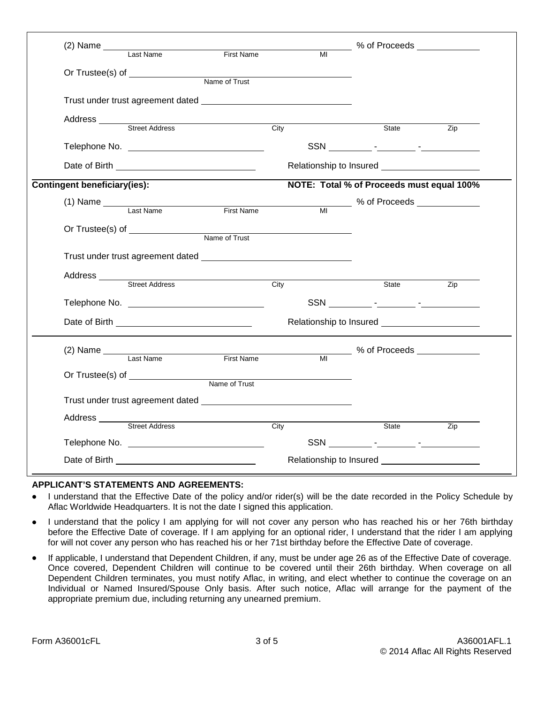|                              | (2) Name Last Name First Name                                                                                                                                                                                                                                                                                                                                                                                  |             | MI % of Proceeds ॒                        |                   |
|------------------------------|----------------------------------------------------------------------------------------------------------------------------------------------------------------------------------------------------------------------------------------------------------------------------------------------------------------------------------------------------------------------------------------------------------------|-------------|-------------------------------------------|-------------------|
|                              |                                                                                                                                                                                                                                                                                                                                                                                                                |             |                                           |                   |
|                              |                                                                                                                                                                                                                                                                                                                                                                                                                |             |                                           |                   |
|                              |                                                                                                                                                                                                                                                                                                                                                                                                                |             |                                           |                   |
|                              |                                                                                                                                                                                                                                                                                                                                                                                                                |             |                                           |                   |
|                              |                                                                                                                                                                                                                                                                                                                                                                                                                |             |                                           |                   |
|                              |                                                                                                                                                                                                                                                                                                                                                                                                                | City        | State                                     | Zip               |
|                              |                                                                                                                                                                                                                                                                                                                                                                                                                |             |                                           |                   |
|                              |                                                                                                                                                                                                                                                                                                                                                                                                                |             |                                           |                   |
| Contingent beneficiary(ies): |                                                                                                                                                                                                                                                                                                                                                                                                                |             | NOTE: Total % of Proceeds must equal 100% |                   |
|                              | $(1)$ Name $\frac{1}{\sqrt{1-\frac{1}{1-\frac{1}{1-\frac{1}{1-\frac{1}{1-\frac{1}{1-\frac{1}{1-\frac{1}{1-\frac{1}{1-\frac{1}{1-\frac{1}{1-\frac{1}{1-\frac{1}{1-\frac{1}{1-\frac{1}{1-\frac{1}{1-\frac{1}{1-\frac{1}{1-\frac{1}{1-\frac{1}{1-\frac{1}{1-\frac{1}{1-\frac{1}{1-\frac{1}{1-\frac{1}{1-\frac{1}{1-\frac{1}{1-\frac{1}{1-\frac{1}{1-\frac{1}{1-\frac{1}{1-\frac{1}{1-\frac{1}{1-\frac{1}{1-\frac$ |             |                                           |                   |
|                              |                                                                                                                                                                                                                                                                                                                                                                                                                |             |                                           |                   |
|                              |                                                                                                                                                                                                                                                                                                                                                                                                                |             |                                           |                   |
|                              |                                                                                                                                                                                                                                                                                                                                                                                                                |             |                                           |                   |
|                              |                                                                                                                                                                                                                                                                                                                                                                                                                |             |                                           |                   |
|                              |                                                                                                                                                                                                                                                                                                                                                                                                                |             |                                           |                   |
|                              | Address <u>Street Address</u>                                                                                                                                                                                                                                                                                                                                                                                  | City        | State                                     | Zip               |
|                              |                                                                                                                                                                                                                                                                                                                                                                                                                |             |                                           |                   |
|                              | Date of Birth <b>National Contract of Birth</b>                                                                                                                                                                                                                                                                                                                                                                |             |                                           |                   |
|                              |                                                                                                                                                                                                                                                                                                                                                                                                                |             |                                           |                   |
|                              | (2) Name Last Name First Name MI % of Proceeds Last Name                                                                                                                                                                                                                                                                                                                                                       |             |                                           |                   |
|                              |                                                                                                                                                                                                                                                                                                                                                                                                                |             |                                           |                   |
|                              |                                                                                                                                                                                                                                                                                                                                                                                                                |             |                                           |                   |
|                              |                                                                                                                                                                                                                                                                                                                                                                                                                |             |                                           |                   |
|                              | Address<br>Street Address                                                                                                                                                                                                                                                                                                                                                                                      |             |                                           |                   |
|                              |                                                                                                                                                                                                                                                                                                                                                                                                                | <b>City</b> | State                                     | $\overline{Z}$ ip |
|                              |                                                                                                                                                                                                                                                                                                                                                                                                                |             |                                           |                   |
|                              |                                                                                                                                                                                                                                                                                                                                                                                                                |             |                                           |                   |

#### **APPLICANT'S STATEMENTS AND AGREEMENTS:**

- I understand that the Effective Date of the policy and/or rider(s) will be the date recorded in the Policy Schedule by Aflac Worldwide Headquarters. It is not the date I signed this application.
- I understand that the policy I am applying for will not cover any person who has reached his or her 76th birthday before the Effective Date of coverage. If I am applying for an optional rider, I understand that the rider I am applying for will not cover any person who has reached his or her 71st birthday before the Effective Date of coverage.
- If applicable, I understand that Dependent Children, if any, must be under age 26 as of the Effective Date of coverage. Once covered, Dependent Children will continue to be covered until their 26th birthday. When coverage on all Dependent Children terminates, you must notify Aflac, in writing, and elect whether to continue the coverage on an Individual or Named Insured/Spouse Only basis. After such notice, Aflac will arrange for the payment of the appropriate premium due, including returning any unearned premium.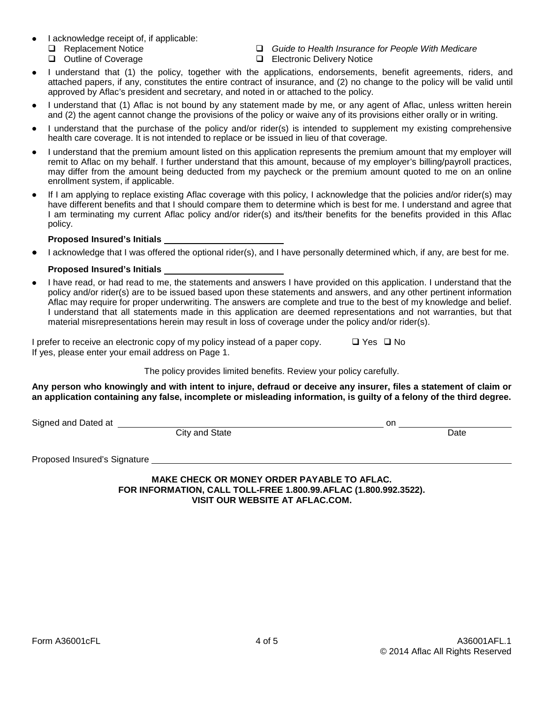- I acknowledge receipt of, if applicable:
	-
	-
	- Replacement Notice *Guide to Health Insurance for People With Medicare*
		- $\Box$  Electronic Delivery Notice
- I understand that (1) the policy, together with the applications, endorsements, benefit agreements, riders, and attached papers, if any, constitutes the entire contract of insurance, and (2) no change to the policy will be valid until approved by Aflac's president and secretary, and noted in or attached to the policy.
- I understand that (1) Aflac is not bound by any statement made by me, or any agent of Aflac, unless written herein and (2) the agent cannot change the provisions of the policy or waive any of its provisions either orally or in writing.
- I understand that the purchase of the policy and/or rider(s) is intended to supplement my existing comprehensive health care coverage. It is not intended to replace or be issued in lieu of that coverage.
- I understand that the premium amount listed on this application represents the premium amount that my employer will remit to Aflac on my behalf. I further understand that this amount, because of my employer's billing/payroll practices, may differ from the amount being deducted from my paycheck or the premium amount quoted to me on an online enrollment system, if applicable.
- If I am applying to replace existing Aflac coverage with this policy, I acknowledge that the policies and/or rider(s) may have different benefits and that I should compare them to determine which is best for me. I understand and agree that I am terminating my current Aflac policy and/or rider(s) and its/their benefits for the benefits provided in this Aflac policy.

#### **Proposed Insured's Initials**

• I acknowledge that I was offered the optional rider(s), and I have personally determined which, if any, are best for me.

#### **Proposed Insured's Initials**

• I have read, or had read to me, the statements and answers I have provided on this application. I understand that the policy and/or rider(s) are to be issued based upon these statements and answers, and any other pertinent information Aflac may require for proper underwriting. The answers are complete and true to the best of my knowledge and belief. I understand that all statements made in this application are deemed representations and not warranties, but that material misrepresentations herein may result in loss of coverage under the policy and/or rider(s).

I prefer to receive an electronic copy of my policy instead of a paper copy.  $\Box$  Yes  $\Box$  No If yes, please enter your email address on Page 1.

The policy provides limited benefits. Review your policy carefully.

**Any person who knowingly and with intent to injure, defraud or deceive any insurer, files a statement of claim or an application containing any false, incomplete or misleading information, is guilty of a felony of the third degree.**

Signed and Dated at on

City and State Date

Proposed Insured's Signature

**MAKE CHECK OR MONEY ORDER PAYABLE TO AFLAC. FOR INFORMATION, CALL TOLL-FREE 1.800.99.AFLAC (1.800.992.3522). VISIT OUR WEBSITE AT AFLAC.COM.**